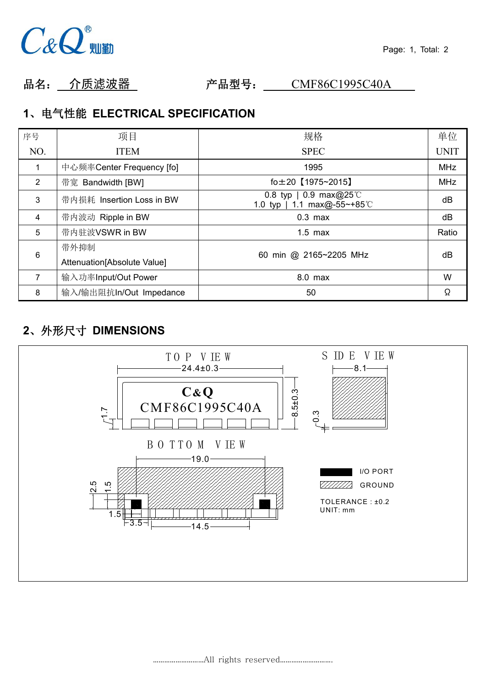

品名: 介质滤波器 产品型号: CMF86C1995C40A

### **1**、电气性能 **ELECTRICAL SPECIFICATION**

| 序号             | 项目                          | 规格                                                     | 单位          |
|----------------|-----------------------------|--------------------------------------------------------|-------------|
| NO.            | <b>ITEM</b>                 | <b>SPEC</b>                                            | <b>UNIT</b> |
|                | 中心频率Center Frequency [fo]   | 1995                                                   | <b>MHz</b>  |
| $\overline{2}$ | 带宽 Bandwidth [BW]           | $fo±20$ $[1975~2015]$                                  | <b>MHz</b>  |
| 3              | 带内损耗 Insertion Loss in BW   | 0.8 typ   0.9 max@25 °C<br>1.0 typ   1.1 max@-55~+85°C | dB          |
| 4              | 带内波动 Ripple in BW           | $0.3$ max                                              | dB          |
| 5              | 带内驻波VSWR in BW              | $1.5$ max                                              | Ratio       |
| 6              | 带外抑制                        | 60 min @ 2165~2205 MHz                                 | dB          |
|                | Attenuation[Absolute Value] |                                                        |             |
| $\overline{7}$ | 输入功率Input/Out Power         | 8.0 max                                                | W           |
| 8              | 输入/输出阻抗In/Out Impedance     | 50                                                     | Ω           |

# **2**、外形尺寸 **DIMENSIONS**